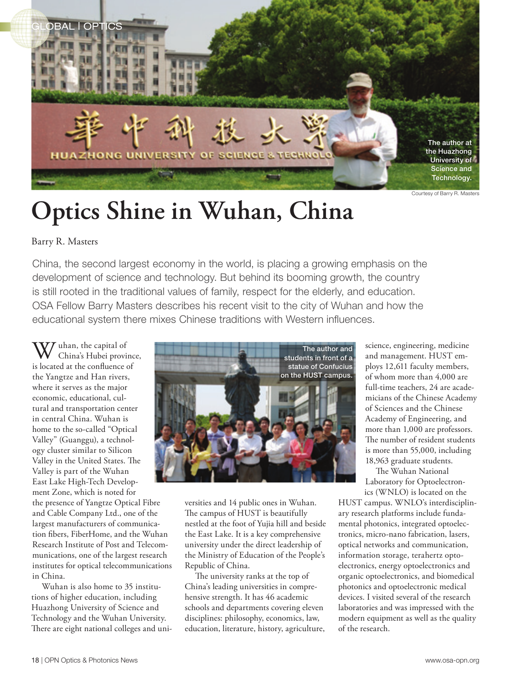

**Optics Shine in Wuhan, China** 

## Barry R. Masters

China, the second largest economy in the world, is placing a growing emphasis on the development of science and technology. But behind its booming growth, the country is still rooted in the traditional values of family, respect for the elderly, and education. OSA Fellow Barry Masters describes his recent visit to the city of Wuhan and how the educational system there mixes Chinese traditions with Western influences.

 $\tau$  uhan, the capital of China's Hubei province, is located at the confluence of the Yangtze and Han rivers, where it serves as the major economic, educational, cultural and transportation center in central China. Wuhan is home to the so-called "Optical Valley" (Guanggu), a technology cluster similar to Silicon Valley in the United States. The Valley is part of the Wuhan East Lake High-Tech Development Zone, which is noted for

the presence of Yangtze Optical Fibre and Cable Company Ltd., one of the largest manufacturers of communication fibers, FiberHome, and the Wuhan Research Institute of Post and Telecommunications, one of the largest research institutes for optical telecommunications in China.

Wuhan is also home to 35 institutions of higher education, including Huazhong University of Science and Technology and the Wuhan University. There are eight national colleges and uni-



versities and 14 public ones in Wuhan. The campus of HUST is beautifully nestled at the foot of Yujia hill and beside the East Lake. It is a key comprehensive university under the direct leadership of the Ministry of Education of the People's Republic of China.

The university ranks at the top of China's leading universities in comprehensive strength. It has 46 academic schools and departments covering eleven disciplines: philosophy, economics, law, education, literature, history, agriculture, science, engineering, medicine and management. HUST employs 12,611 faculty members, of whom more than 4,000 are full-time teachers, 24 are academicians of the Chinese Academy of Sciences and the Chinese Academy of Engineering, and more than 1,000 are professors. The number of resident students is more than 55,000, including 18,963 graduate students.

The Wuhan National Laboratory for Optoelectronics (WNLO) is located on the

HUST campus. WNLO's interdisciplinary research platforms include fundamental photonics, integrated optoelectronics, micro-nano fabrication, lasers, optical networks and communication, information storage, terahertz optoelectronics, energy optoelectronics and organic optoelectronics, and biomedical photonics and optoelectronic medical devices. I visited several of the research laboratories and was impressed with the modern equipment as well as the quality of the research.